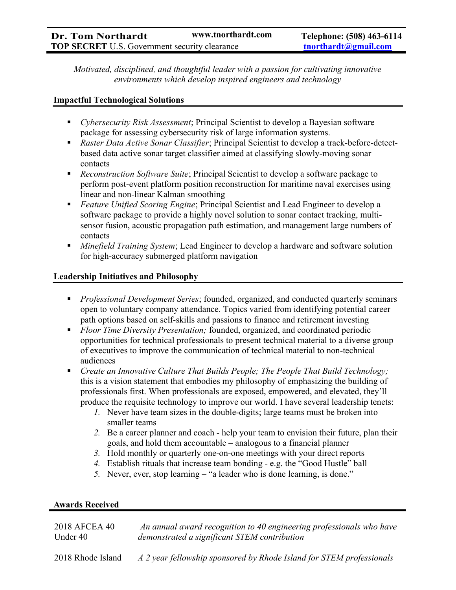Motivated, disciplined, and thoughtful leader with a passion for cultivating innovative environments which develop inspired engineers and technology

## Impactful Technological Solutions

- Cybersecurity Risk Assessment; Principal Scientist to develop a Bayesian software package for assessing cybersecurity risk of large information systems.
- Raster Data Active Sonar Classifier; Principal Scientist to develop a track-before-detectbased data active sonar target classifier aimed at classifying slowly-moving sonar contacts
- Reconstruction Software Suite; Principal Scientist to develop a software package to perform post-event platform position reconstruction for maritime naval exercises using linear and non-linear Kalman smoothing
- Feature Unified Scoring Engine; Principal Scientist and Lead Engineer to develop a software package to provide a highly novel solution to sonar contact tracking, multisensor fusion, acoustic propagation path estimation, and management large numbers of contacts
- Minefield Training System; Lead Engineer to develop a hardware and software solution for high-accuracy submerged platform navigation

# Leadership Initiatives and Philosophy

- **Professional Development Series; founded, organized, and conducted quarterly seminars** open to voluntary company attendance. Topics varied from identifying potential career path options based on self-skills and passions to finance and retirement investing
- Floor Time Diversity Presentation; founded, organized, and coordinated periodic opportunities for technical professionals to present technical material to a diverse group of executives to improve the communication of technical material to non-technical audiences
- Create an Innovative Culture That Builds People; The People That Build Technology; this is a vision statement that embodies my philosophy of emphasizing the building of professionals first. When professionals are exposed, empowered, and elevated, they'll produce the requisite technology to improve our world. I have several leadership tenets:
	- 1. Never have team sizes in the double-digits; large teams must be broken into smaller teams
	- 2. Be a career planner and coach help your team to envision their future, plan their goals, and hold them accountable – analogous to a financial planner
	- 3. Hold monthly or quarterly one-on-one meetings with your direct reports
	- 4. Establish rituals that increase team bonding e.g. the "Good Hustle" ball
	- 5. Never, ever, stop learning "a leader who is done learning, is done."

# Awards Received

| 2018 AFCEA 40     | An annual award recognition to 40 engineering professionals who have |
|-------------------|----------------------------------------------------------------------|
| Under 40          | demonstrated a significant STEM contribution                         |
| 2018 Rhode Island | A 2 year fellowship sponsored by Rhode Island for STEM professionals |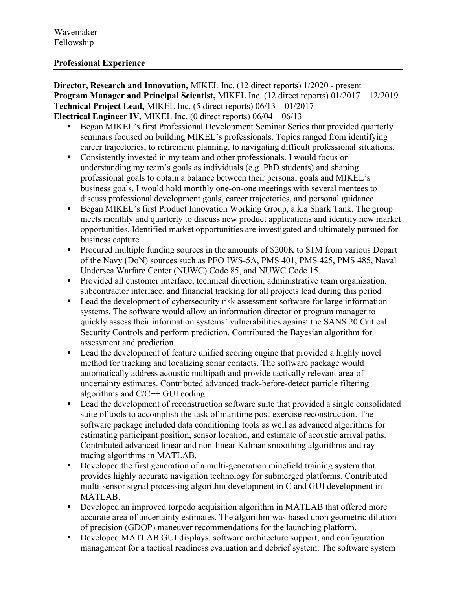## Professional Experience

Director, Research and Innovation, MIKEL Inc. (12 direct reports) 1/2020 - present Program Manager and Principal Scientist, MIKEL Inc. (12 direct reports) 01/2017 – 12/2019 Technical Project Lead, MIKEL Inc. (5 direct reports) 06/13 – 01/2017 Electrical Engineer IV, MIKEL Inc. (0 direct reports) 06/04 – 06/13

- Began MIKEL's first Professional Development Seminar Series that provided quarterly seminars focused on building MIKEL's professionals. Topics ranged from identifying career trajectories, to retirement planning, to navigating difficult professional situations.
- Consistently invested in my team and other professionals. I would focus on understanding my team's goals as individuals (e.g. PhD students) and shaping professional goals to obtain a balance between their personal goals and MIKEL's business goals. I would hold monthly one-on-one meetings with several mentees to discuss professional development goals, career trajectories, and personal guidance.
- Began MIKEL's first Product Innovation Working Group, a.k. a Shark Tank. The group meets monthly and quarterly to discuss new product applications and identify new market opportunities. Identified market opportunities are investigated and ultimately pursued for business capture.
- Procured multiple funding sources in the amounts of \$200K to \$1M from various Depart of the Navy (DoN) sources such as PEO IWS-5A, PMS 401, PMS 425, PMS 485, Naval Undersea Warfare Center (NUWC) Code 85, and NUWC Code 15.
- **Provided all customer interface, technical direction, administrative team organization,** subcontractor interface, and financial tracking for all projects lead during this period
- Lead the development of cybersecurity risk assessment software for large information systems. The software would allow an information director or program manager to quickly assess their information systems' vulnerabilities against the SANS 20 Critical Security Controls and perform prediction. Contributed the Bayesian algorithm for assessment and prediction.
- Lead the development of feature unified scoring engine that provided a highly novel method for tracking and localizing sonar contacts. The software package would automatically address acoustic multipath and provide tactically relevant area-ofuncertainty estimates. Contributed advanced track-before-detect particle filtering algorithms and C/C++ GUI coding.
- Lead the development of reconstruction software suite that provided a single consolidated suite of tools to accomplish the task of maritime post-exercise reconstruction. The software package included data conditioning tools as well as advanced algorithms for estimating participant position, sensor location, and estimate of acoustic arrival paths. Contributed advanced linear and non-linear Kalman smoothing algorithms and ray tracing algorithms in MATLAB.
- Developed the first generation of a multi-generation minefield training system that provides highly accurate navigation technology for submerged platforms. Contributed multi-sensor signal processing algorithm development in C and GUI development in MATLAB.
- Developed an improved torpedo acquisition algorithm in MATLAB that offered more accurate area of uncertainty estimates. The algorithm was based upon geometric dilution of precision (GDOP) maneuver recommendations for the launching platform.
- Developed MATLAB GUI displays, software architecture support, and configuration management for a tactical readiness evaluation and debrief system. The software system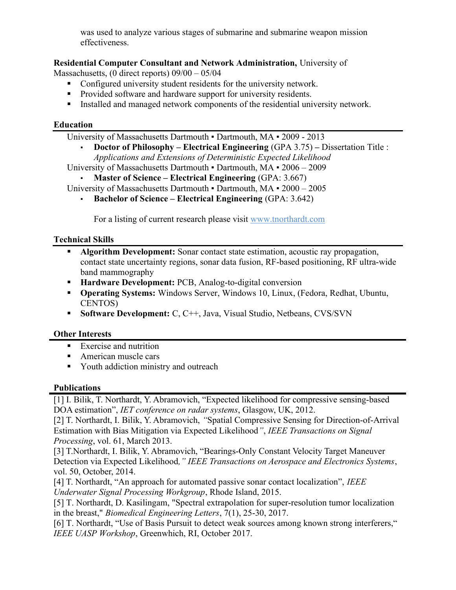was used to analyze various stages of submarine and submarine weapon mission effectiveness.

# Residential Computer Consultant and Network Administration, University of

Massachusetts, (0 direct reports) 09/00 – 05/04

- Configured university student residents for the university network.
- **Provided software and hardware support for university residents.**
- Installed and managed network components of the residential university network.

## Education

University of Massachusetts Dartmouth ▪ Dartmouth, MA ▪ 2009 - 2013

**Doctor of Philosophy – Electrical Engineering (GPA 3.75) – Dissertation Title :** Applications and Extensions of Deterministic Expected Likelihood

University of Massachusetts Dartmouth ▪ Dartmouth, MA ▪ 2006 – 2009

Master of Science – Electrical Engineering (GPA: 3.667)

University of Massachusetts Dartmouth ▪ Dartmouth, MA ▪ 2000 – 2005

▪ Bachelor of Science – Electrical Engineering (GPA: 3.642)

For a listing of current research please visit www.tnorthardt.com

#### Technical Skills

- Algorithm Development: Sonar contact state estimation, acoustic ray propagation, contact state uncertainty regions, sonar data fusion, RF-based positioning, RF ultra-wide band mammography
- **Hardware Development: PCB, Analog-to-digital conversion**
- **Operating Systems:** Windows Server, Windows 10, Linux, (Fedora, Redhat, Ubuntu, CENTOS)
- Software Development: C, C++, Java, Visual Studio, Netbeans, CVS/SVN

# Other Interests

- Exercise and nutrition
- **American muscle cars**
- Youth addiction ministry and outreach

# Publications

[1] I. Bilik, T. Northardt, Y. Abramovich, "Expected likelihood for compressive sensing-based DOA estimation", *IET conference on radar systems*, Glasgow, UK, 2012.

[2] T. Northardt, I. Bilik, Y. Abramovich, "Spatial Compressive Sensing for Direction-of-Arrival Estimation with Bias Mitigation via Expected Likelihood", IEEE Transactions on Signal Processing, vol. 61, March 2013.

[3] T.Northardt, I. Bilik, Y. Abramovich, "Bearings-Only Constant Velocity Target Maneuver Detection via Expected Likelihood," IEEE Transactions on Aerospace and Electronics Systems, vol. 50, October, 2014.

[4] T. Northardt, "An approach for automated passive sonar contact localization", IEEE Underwater Signal Processing Workgroup, Rhode Island, 2015.

[5] T. Northardt, D. Kasilingam, "Spectral extrapolation for super-resolution tumor localization in the breast," Biomedical Engineering Letters, 7(1), 25-30, 2017.

[6] T. Northardt, "Use of Basis Pursuit to detect weak sources among known strong interferers," IEEE UASP Workshop, Greenwhich, RI, October 2017.